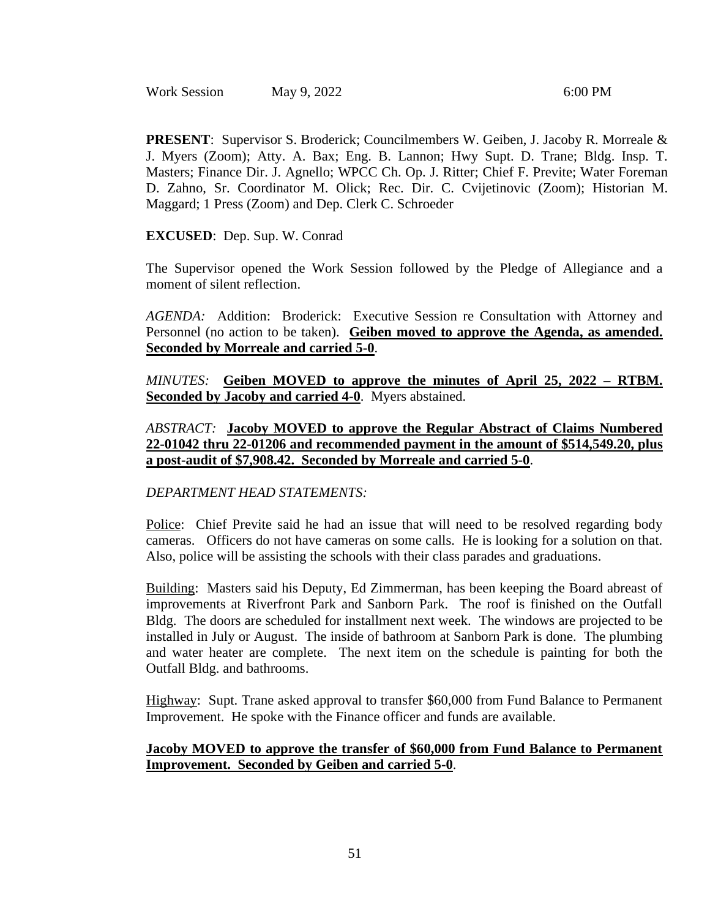Work Session May 9, 2022 6:00 PM

**PRESENT**: Supervisor S. Broderick; Councilmembers W. Geiben, J. Jacoby R. Morreale & J. Myers (Zoom); Atty. A. Bax; Eng. B. Lannon; Hwy Supt. D. Trane; Bldg. Insp. T. Masters; Finance Dir. J. Agnello; WPCC Ch. Op. J. Ritter; Chief F. Previte; Water Foreman D. Zahno, Sr. Coordinator M. Olick; Rec. Dir. C. Cvijetinovic (Zoom); Historian M. Maggard; 1 Press (Zoom) and Dep. Clerk C. Schroeder

### **EXCUSED**: Dep. Sup. W. Conrad

The Supervisor opened the Work Session followed by the Pledge of Allegiance and a moment of silent reflection.

*AGENDA:* Addition: Broderick: Executive Session re Consultation with Attorney and Personnel (no action to be taken). **Geiben moved to approve the Agenda, as amended. Seconded by Morreale and carried 5-0**.

*MINUTES:* **Geiben MOVED to approve the minutes of April 25, 2022 – RTBM. Seconded by Jacoby and carried 4-0**. Myers abstained.

*ABSTRACT:* **Jacoby MOVED to approve the Regular Abstract of Claims Numbered 22-01042 thru 22-01206 and recommended payment in the amount of \$514,549.20, plus a post-audit of \$7,908.42. Seconded by Morreale and carried 5-0**.

### *DEPARTMENT HEAD STATEMENTS:*

Police: Chief Previte said he had an issue that will need to be resolved regarding body cameras. Officers do not have cameras on some calls. He is looking for a solution on that. Also, police will be assisting the schools with their class parades and graduations.

Building: Masters said his Deputy, Ed Zimmerman, has been keeping the Board abreast of improvements at Riverfront Park and Sanborn Park. The roof is finished on the Outfall Bldg. The doors are scheduled for installment next week. The windows are projected to be installed in July or August. The inside of bathroom at Sanborn Park is done. The plumbing and water heater are complete. The next item on the schedule is painting for both the Outfall Bldg. and bathrooms.

Highway: Supt. Trane asked approval to transfer \$60,000 from Fund Balance to Permanent Improvement. He spoke with the Finance officer and funds are available.

### **Jacoby MOVED to approve the transfer of \$60,000 from Fund Balance to Permanent Improvement. Seconded by Geiben and carried 5-0**.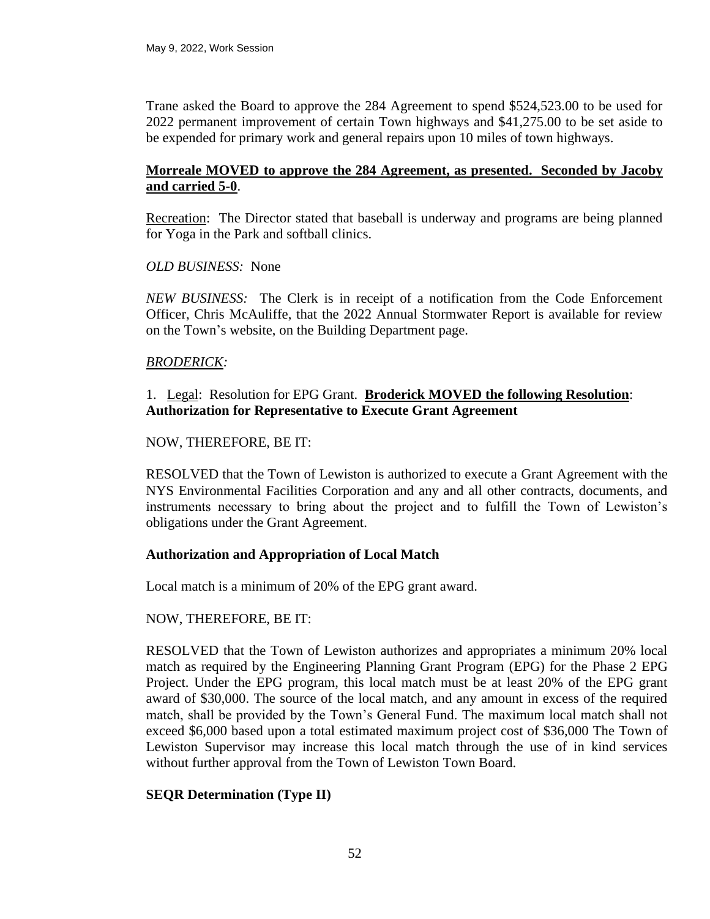Trane asked the Board to approve the 284 Agreement to spend \$524,523.00 to be used for 2022 permanent improvement of certain Town highways and \$41,275.00 to be set aside to be expended for primary work and general repairs upon 10 miles of town highways.

## **Morreale MOVED to approve the 284 Agreement, as presented. Seconded by Jacoby and carried 5-0**.

Recreation: The Director stated that baseball is underway and programs are being planned for Yoga in the Park and softball clinics.

### *OLD BUSINESS:* None

*NEW BUSINESS:* The Clerk is in receipt of a notification from the Code Enforcement Officer, Chris McAuliffe, that the 2022 Annual Stormwater Report is available for review on the Town's website, on the Building Department page.

### *BRODERICK:*

# 1. Legal: Resolution for EPG Grant. **Broderick MOVED the following Resolution**: **Authorization for Representative to Execute Grant Agreement**

#### NOW, THEREFORE, BE IT:

RESOLVED that the Town of Lewiston is authorized to execute a Grant Agreement with the NYS Environmental Facilities Corporation and any and all other contracts, documents, and instruments necessary to bring about the project and to fulfill the Town of Lewiston's obligations under the Grant Agreement.

### **Authorization and Appropriation of Local Match**

Local match is a minimum of 20% of the EPG grant award.

### NOW, THEREFORE, BE IT:

RESOLVED that the Town of Lewiston authorizes and appropriates a minimum 20% local match as required by the Engineering Planning Grant Program (EPG) for the Phase 2 EPG Project. Under the EPG program, this local match must be at least 20% of the EPG grant award of \$30,000. The source of the local match, and any amount in excess of the required match, shall be provided by the Town's General Fund. The maximum local match shall not exceed \$6,000 based upon a total estimated maximum project cost of \$36,000 The Town of Lewiston Supervisor may increase this local match through the use of in kind services without further approval from the Town of Lewiston Town Board.

### **SEQR Determination (Type II)**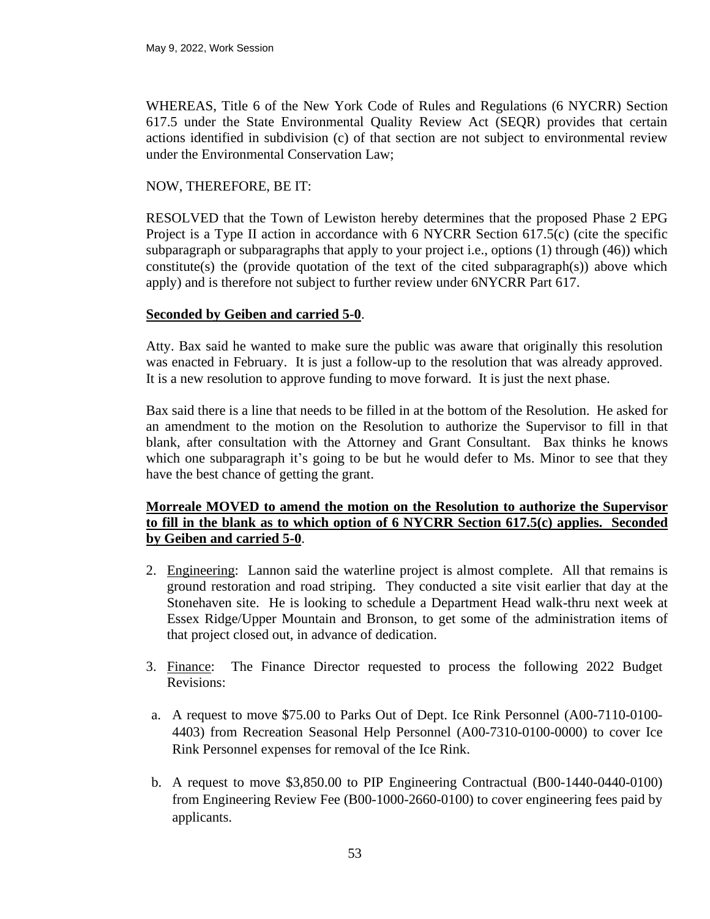WHEREAS, Title 6 of the New York Code of Rules and Regulations (6 NYCRR) Section 617.5 under the State Environmental Quality Review Act (SEQR) provides that certain actions identified in subdivision (c) of that section are not subject to environmental review under the Environmental Conservation Law;

## NOW, THEREFORE, BE IT:

RESOLVED that the Town of Lewiston hereby determines that the proposed Phase 2 EPG Project is a Type II action in accordance with 6 NYCRR Section 617.5(c) (cite the specific subparagraph or subparagraphs that apply to your project i.e., options (1) through (46)) which constitute(s) the (provide quotation of the text of the cited subparagraph(s)) above which apply) and is therefore not subject to further review under 6NYCRR Part 617.

### **Seconded by Geiben and carried 5-0**.

Atty. Bax said he wanted to make sure the public was aware that originally this resolution was enacted in February. It is just a follow-up to the resolution that was already approved. It is a new resolution to approve funding to move forward. It is just the next phase.

Bax said there is a line that needs to be filled in at the bottom of the Resolution. He asked for an amendment to the motion on the Resolution to authorize the Supervisor to fill in that blank, after consultation with the Attorney and Grant Consultant. Bax thinks he knows which one subparagraph it's going to be but he would defer to Ms. Minor to see that they have the best chance of getting the grant.

# **Morreale MOVED to amend the motion on the Resolution to authorize the Supervisor to fill in the blank as to which option of 6 NYCRR Section 617.5(c) applies. Seconded by Geiben and carried 5-0**.

- 2. Engineering: Lannon said the waterline project is almost complete. All that remains is ground restoration and road striping. They conducted a site visit earlier that day at the Stonehaven site. He is looking to schedule a Department Head walk-thru next week at Essex Ridge/Upper Mountain and Bronson, to get some of the administration items of that project closed out, in advance of dedication.
- 3. Finance: The Finance Director requested to process the following 2022 Budget Revisions:
- a. A request to move \$75.00 to Parks Out of Dept. Ice Rink Personnel (A00-7110-0100- 4403) from Recreation Seasonal Help Personnel (A00-7310-0100-0000) to cover Ice Rink Personnel expenses for removal of the Ice Rink.
- b. A request to move \$3,850.00 to PIP Engineering Contractual (B00-1440-0440-0100) from Engineering Review Fee (B00-1000-2660-0100) to cover engineering fees paid by applicants.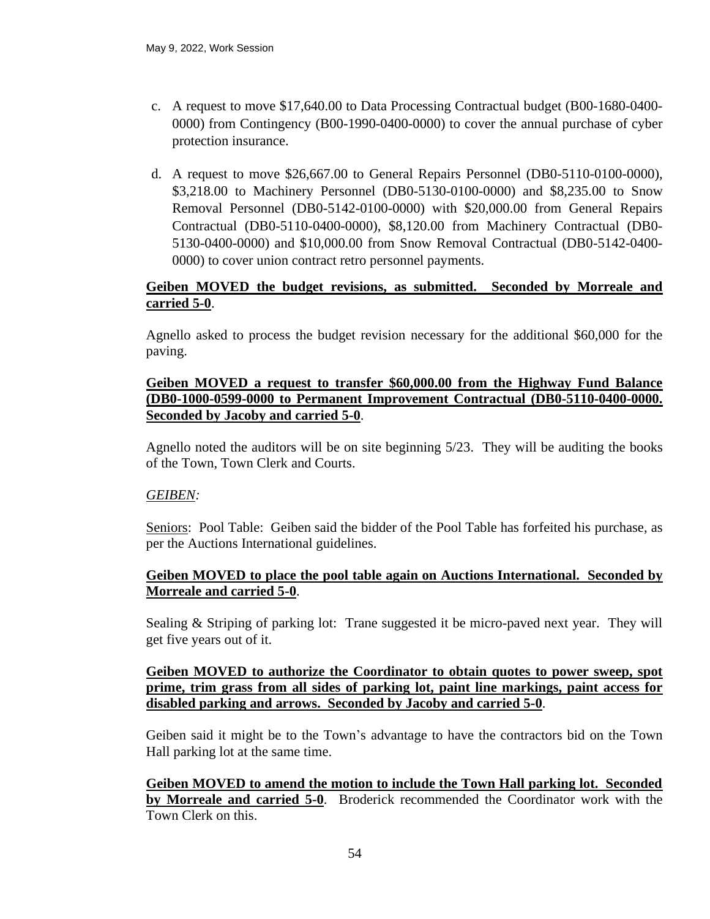- c. A request to move \$17,640.00 to Data Processing Contractual budget (B00-1680-0400- 0000) from Contingency (B00-1990-0400-0000) to cover the annual purchase of cyber protection insurance.
- d. A request to move \$26,667.00 to General Repairs Personnel (DB0-5110-0100-0000), \$3,218.00 to Machinery Personnel (DB0-5130-0100-0000) and \$8,235.00 to Snow Removal Personnel (DB0-5142-0100-0000) with \$20,000.00 from General Repairs Contractual (DB0-5110-0400-0000), \$8,120.00 from Machinery Contractual (DB0- 5130-0400-0000) and \$10,000.00 from Snow Removal Contractual (DB0-5142-0400- 0000) to cover union contract retro personnel payments.

# **Geiben MOVED the budget revisions, as submitted. Seconded by Morreale and carried 5-0**.

Agnello asked to process the budget revision necessary for the additional \$60,000 for the paving.

### **Geiben MOVED a request to transfer \$60,000.00 from the Highway Fund Balance (DB0-1000-0599-0000 to Permanent Improvement Contractual (DB0-5110-0400-0000. Seconded by Jacoby and carried 5-0**.

Agnello noted the auditors will be on site beginning 5/23. They will be auditing the books of the Town, Town Clerk and Courts.

# *GEIBEN:*

Seniors: Pool Table: Geiben said the bidder of the Pool Table has forfeited his purchase, as per the Auctions International guidelines.

# **Geiben MOVED to place the pool table again on Auctions International. Seconded by Morreale and carried 5-0**.

Sealing & Striping of parking lot: Trane suggested it be micro-paved next year. They will get five years out of it.

# **Geiben MOVED to authorize the Coordinator to obtain quotes to power sweep, spot prime, trim grass from all sides of parking lot, paint line markings, paint access for disabled parking and arrows. Seconded by Jacoby and carried 5-0**.

Geiben said it might be to the Town's advantage to have the contractors bid on the Town Hall parking lot at the same time.

**Geiben MOVED to amend the motion to include the Town Hall parking lot. Seconded by Morreale and carried 5-0**. Broderick recommended the Coordinator work with the Town Clerk on this.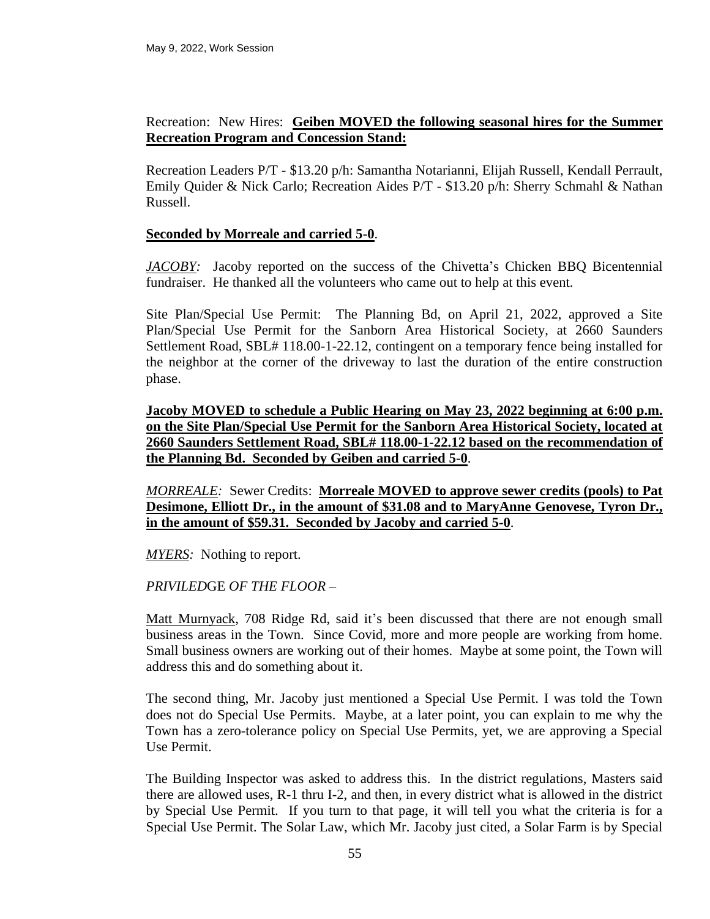## Recreation: New Hires: **Geiben MOVED the following seasonal hires for the Summer Recreation Program and Concession Stand:**

Recreation Leaders P/T - \$13.20 p/h: Samantha Notarianni, Elijah Russell, Kendall Perrault, Emily Quider & Nick Carlo; Recreation Aides P/T - \$13.20 p/h: Sherry Schmahl & Nathan Russell.

### **Seconded by Morreale and carried 5-0**.

*JACOBY:* Jacoby reported on the success of the Chivetta's Chicken BBQ Bicentennial fundraiser. He thanked all the volunteers who came out to help at this event.

Site Plan/Special Use Permit: The Planning Bd, on April 21, 2022, approved a Site Plan/Special Use Permit for the Sanborn Area Historical Society, at 2660 Saunders Settlement Road, SBL# 118.00-1-22.12, contingent on a temporary fence being installed for the neighbor at the corner of the driveway to last the duration of the entire construction phase.

**Jacoby MOVED to schedule a Public Hearing on May 23, 2022 beginning at 6:00 p.m. on the Site Plan/Special Use Permit for the Sanborn Area Historical Society, located at 2660 Saunders Settlement Road, SBL# 118.00-1-22.12 based on the recommendation of the Planning Bd. Seconded by Geiben and carried 5-0**.

*MORREALE:* Sewer Credits: **Morreale MOVED to approve sewer credits (pools) to Pat Desimone, Elliott Dr., in the amount of \$31.08 and to MaryAnne Genovese, Tyron Dr., in the amount of \$59.31. Seconded by Jacoby and carried 5-0**.

*MYERS:* Nothing to report.

*PRIVILED*GE *OF THE FLOOR* –

Matt Murnyack, 708 Ridge Rd, said it's been discussed that there are not enough small business areas in the Town. Since Covid, more and more people are working from home. Small business owners are working out of their homes. Maybe at some point, the Town will address this and do something about it.

The second thing, Mr. Jacoby just mentioned a Special Use Permit. I was told the Town does not do Special Use Permits. Maybe, at a later point, you can explain to me why the Town has a zero-tolerance policy on Special Use Permits, yet, we are approving a Special Use Permit.

The Building Inspector was asked to address this. In the district regulations, Masters said there are allowed uses, R-1 thru I-2, and then, in every district what is allowed in the district by Special Use Permit. If you turn to that page, it will tell you what the criteria is for a Special Use Permit. The Solar Law, which Mr. Jacoby just cited, a Solar Farm is by Special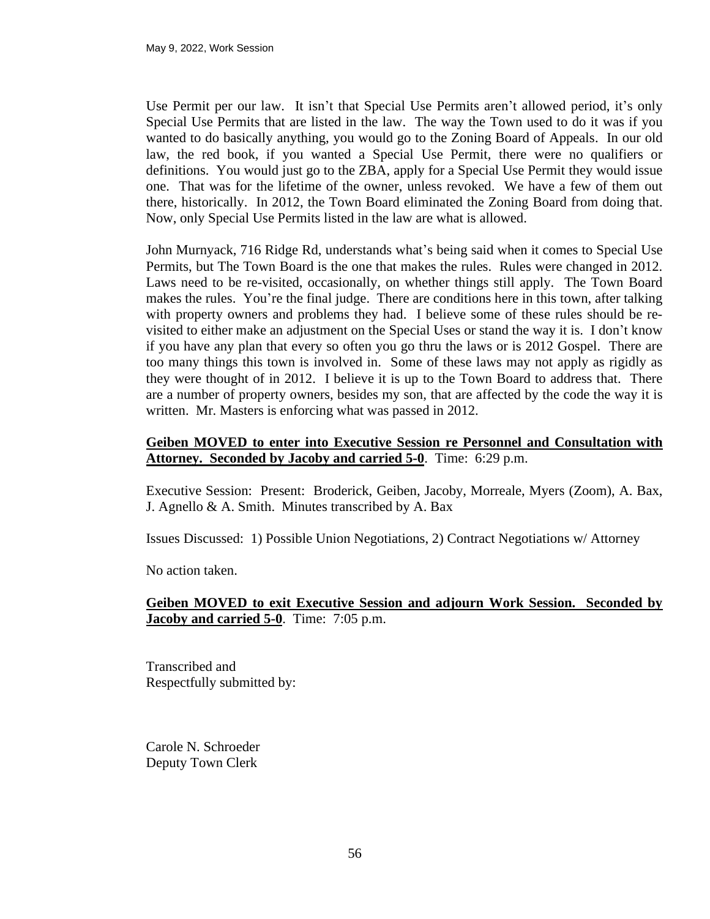Use Permit per our law. It isn't that Special Use Permits aren't allowed period, it's only Special Use Permits that are listed in the law. The way the Town used to do it was if you wanted to do basically anything, you would go to the Zoning Board of Appeals. In our old law, the red book, if you wanted a Special Use Permit, there were no qualifiers or definitions. You would just go to the ZBA, apply for a Special Use Permit they would issue one. That was for the lifetime of the owner, unless revoked. We have a few of them out there, historically. In 2012, the Town Board eliminated the Zoning Board from doing that. Now, only Special Use Permits listed in the law are what is allowed.

John Murnyack, 716 Ridge Rd, understands what's being said when it comes to Special Use Permits, but The Town Board is the one that makes the rules. Rules were changed in 2012. Laws need to be re-visited, occasionally, on whether things still apply. The Town Board makes the rules. You're the final judge. There are conditions here in this town, after talking with property owners and problems they had. I believe some of these rules should be revisited to either make an adjustment on the Special Uses or stand the way it is. I don't know if you have any plan that every so often you go thru the laws or is 2012 Gospel. There are too many things this town is involved in. Some of these laws may not apply as rigidly as they were thought of in 2012. I believe it is up to the Town Board to address that. There are a number of property owners, besides my son, that are affected by the code the way it is written. Mr. Masters is enforcing what was passed in 2012.

### **Geiben MOVED to enter into Executive Session re Personnel and Consultation with Attorney. Seconded by Jacoby and carried 5-0**. Time: 6:29 p.m.

Executive Session: Present: Broderick, Geiben, Jacoby, Morreale, Myers (Zoom), A. Bax, J. Agnello  $\&$  A. Smith. Minutes transcribed by A. Bax

Issues Discussed: 1) Possible Union Negotiations, 2) Contract Negotiations w/ Attorney

No action taken.

# **Geiben MOVED to exit Executive Session and adjourn Work Session. Seconded by Jacoby and carried 5-0**. Time: 7:05 p.m.

Transcribed and Respectfully submitted by:

Carole N. Schroeder Deputy Town Clerk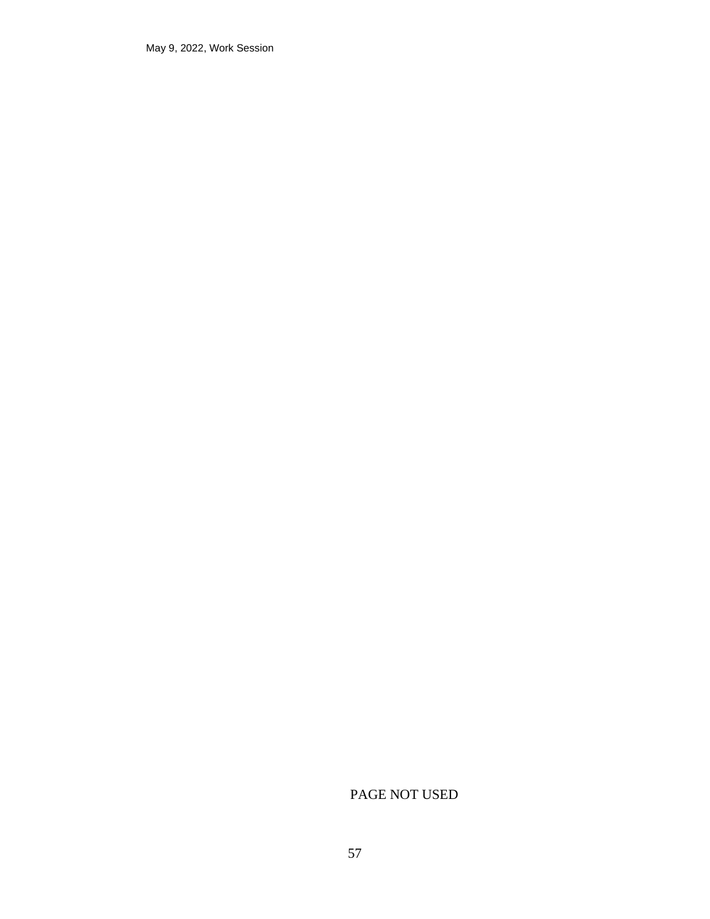May 9, 2022, Work Session

# PAGE NOT USED